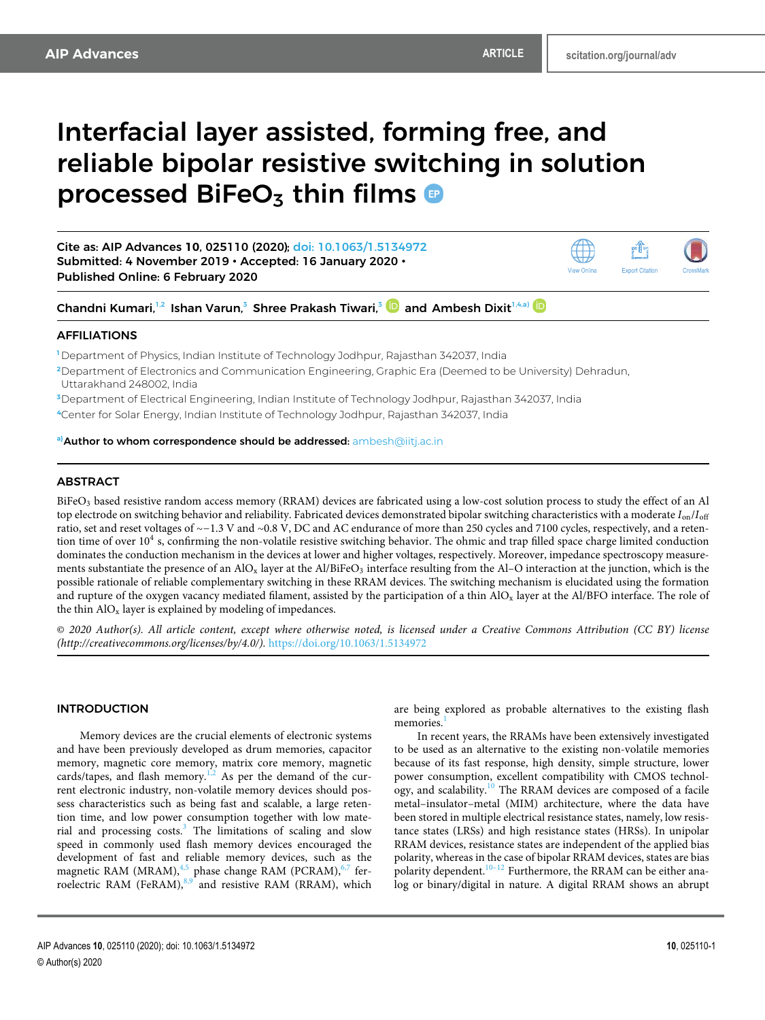ŕĥ **Export Citation** 

View Online

# Interfacial layer assisted, forming free, and reliable bipolar resistive switching in solution processed BiFeO<sub>3</sub> thin films

Cite as: AIP Advances **10**, 025110 (2020); doi: 10.1063/1.5134972 Submitted: 4 November 2019 • Accepted: 16 January 2020 • Published Online: 6 February 2020

Chandni Kumari, $^{1,2}$  Ishan Varun, $^3$  Shree Prakash Tiwari, $^3$   $\blacksquare$  and Ambesh Dixit $^{1,A, \rm a)}$ 

# AFFILIATIONS

**<sup>1</sup>** Department of Physics, Indian Institute of Technology Jodhpur, Rajasthan 342037, India

**<sup>2</sup>**Department of Electronics and Communication Engineering, Graphic Era (Deemed to be University) Dehradun, Uttarakhand 248002, India

**<sup>3</sup>**Department of Electrical Engineering, Indian Institute of Technology Jodhpur, Rajasthan 342037, India

**<sup>4</sup>**Center for Solar Energy, Indian Institute of Technology Jodhpur, Rajasthan 342037, India

**a)**Author to whom correspondence should be addressed: ambesh@iitj.ac.in

# ABSTRACT

BiFeO<sub>3</sub> based resistive random access memory (RRAM) devices are fabricated using a low-cost solution process to study the effect of an Al top electrode on switching behavior and reliability. Fabricated devices demonstrated bipolar switching characteristics with a moderate *I*on/*I*off ratio, set and reset voltages of ∼−1.3 V and ∼0.8 V, DC and AC endurance of more than 250 cycles and 7100 cycles, respectively, and a retention time of over  $10^4$  s, confirming the non-volatile resistive switching behavior. The ohmic and trap filled space charge limited conduction dominates the conduction mechanism in the devices at lower and higher voltages, respectively. Moreover, impedance spectroscopy measurements substantiate the presence of an AlO<sub>x</sub> layer at the Al/BiFeO<sub>3</sub> interface resulting from the Al-O interaction at the junction, which is the possible rationale of reliable complementary switching in these RRAM devices. The switching mechanism is elucidated using the formation and rupture of the oxygen vacancy mediated filament, assisted by the participation of a thin AlO<sub>x</sub> layer at the Al/BFO interface. The role of the thin  $AIO<sub>x</sub>$  layer is explained by modeling of impedances.

© *2020 Author(s). All article content, except where otherwise noted, is licensed under a Creative Commons Attribution (CC BY) license (http://creativecommons.org/licenses/by/4.0/).* https://doi.org/10.1063/1.5134972.,

# INTRODUCTION

Memory devices are the crucial elements of electronic systems and have been previously developed as drum memories, capacitor memory, magnetic core memory, matrix core memory, magnetic cards/tapes, and flash memory.<sup>1,2</sup> As per the demand of the current electronic industry, non-volatile memory devices should possess characteristics such as being fast and scalable, a large retention time, and low power consumption together with low material and processing costs.<sup>3</sup> The limitations of scaling and slow speed in commonly used flash memory devices encouraged the development of fast and reliable memory devices, such as the magnetic RAM (MRAM),<sup>4,5</sup> phase change RAM (PCRAM),<sup>6,7</sup> ferroelectric RAM (FeRAM),<sup>8,9</sup> and resistive RAM (RRAM), which

are being explored as probable alternatives to the existing flash memories.

In recent years, the RRAMs have been extensively investigated to be used as an alternative to the existing non-volatile memories because of its fast response, high density, simple structure, lower power consumption, excellent compatibility with CMOS technology, and scalability.<sup>10</sup> The RRAM devices are composed of a facile metal–insulator–metal (MIM) architecture, where the data have been stored in multiple electrical resistance states, namely, low resistance states (LRSs) and high resistance states (HRSs). In unipolar RRAM devices, resistance states are independent of the applied bias polarity, whereas in the case of bipolar RRAM devices, states are bias polarity dependent.<sup>10–12</sup> Furthermore, the RRAM can be either analog or binary/digital in nature. A digital RRAM shows an abrupt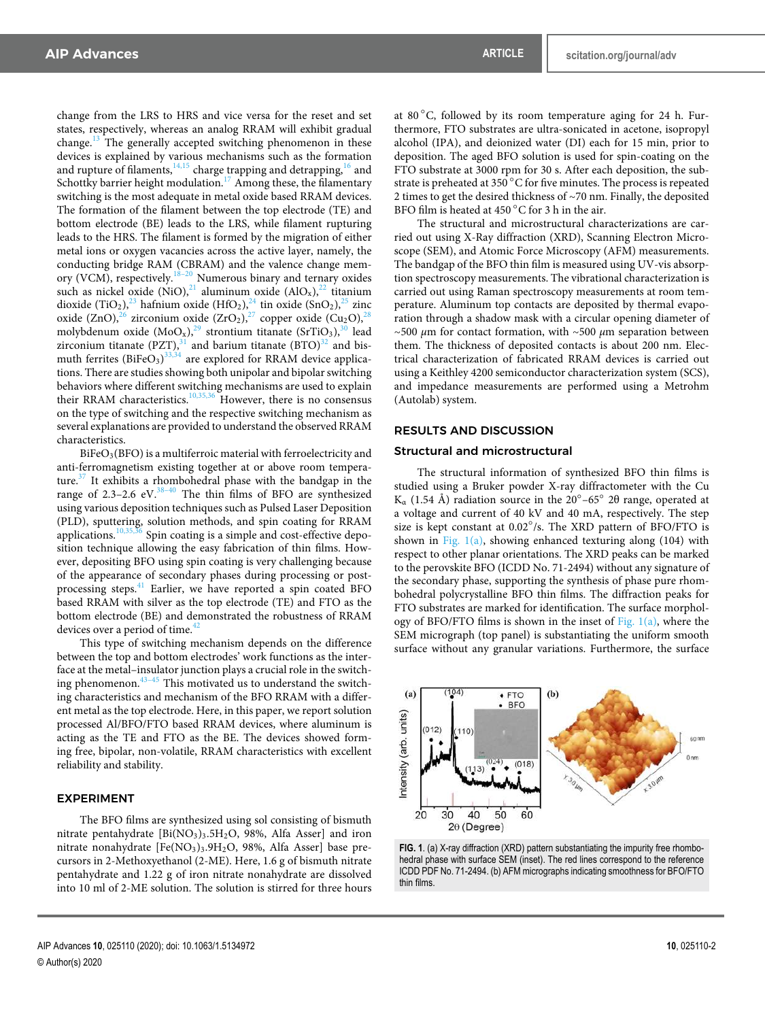change from the LRS to HRS and vice versa for the reset and set states, respectively, whereas an analog RRAM will exhibit gradual change.<sup>13</sup> The generally accepted switching phenomenon in these devices is explained by various mechanisms such as the formation and rupture of filaments, $14,15$  charge trapping and detrapping, $16$  and Schottky barrier height modulation.<sup>17</sup> Among these, the filamentary switching is the most adequate in metal oxide based RRAM devices. The formation of the filament between the top electrode (TE) and bottom electrode (BE) leads to the LRS, while filament rupturing leads to the HRS. The filament is formed by the migration of either metal ions or oxygen vacancies across the active layer, namely, the conducting bridge RAM (CBRAM) and the valence change memory (VCM), respectively.<sup>18–20</sup> Numerous binary and ternary oxides such as nickel oxide  $(NiO)<sup>21</sup>$  aluminum oxide  $(AlO<sub>x</sub>)<sup>22</sup>$  titanium dioxide (TiO<sub>2</sub>),<sup>23</sup> hafnium oxide (HfO<sub>2</sub>),<sup>24</sup> tin oxide (SnO<sub>2</sub>),<sup>25</sup> zinc oxide (ZnO), $^{26}$  zirconium oxide (ZrO<sub>2</sub>), $^{27}$  copper oxide (Cu<sub>2</sub>O), $^{28}$ molybdenum oxide  $(MoO_x)$ ,<sup>29</sup> strontium titanate  $(SrTiO_3)$ ,<sup>30</sup> lead zirconium titanate (PZT), $31$  and barium titanate (BTO) $32$  and bismuth ferrites  $(BiFeO<sub>3</sub>)<sup>33,34</sup>$  are explored for RRAM device applications. There are studies showing both unipolar and bipolar switching behaviors where different switching mechanisms are used to explain their RRAM characteristics.<sup>10,35,36</sup> However, there is no consensus on the type of switching and the respective switching mechanism as several explanations are provided to understand the observed RRAM characteristics.

BiFeO<sub>3</sub>(BFO) is a multiferroic material with ferroelectricity and anti-ferromagnetism existing together at or above room temperature.<sup>37</sup> It exhibits a rhombohedral phase with the bandgap in the range of  $2.3-2.6$  eV.<sup>38-40</sup> The thin films of BFO are synthesized using various deposition techniques such as Pulsed Laser Deposition (PLD), sputtering, solution methods, and spin coating for RRAM applications. $10,35,36$  Spin coating is a simple and cost-effective deposition technique allowing the easy fabrication of thin films. However, depositing BFO using spin coating is very challenging because of the appearance of secondary phases during processing or postprocessing steps.<sup>41</sup> Earlier, we have reported a spin coated BFO based RRAM with silver as the top electrode (TE) and FTO as the bottom electrode (BE) and demonstrated the robustness of RRAM devices over a period of time.<sup>4</sup>

This type of switching mechanism depends on the difference between the top and bottom electrodes' work functions as the interface at the metal–insulator junction plays a crucial role in the switching phenomenon. $43-45$  This motivated us to understand the switching characteristics and mechanism of the BFO RRAM with a different metal as the top electrode. Here, in this paper, we report solution processed Al/BFO/FTO based RRAM devices, where aluminum is acting as the TE and FTO as the BE. The devices showed forming free, bipolar, non-volatile, RRAM characteristics with excellent reliability and stability.

#### EXPERIMENT

The BFO films are synthesized using sol consisting of bismuth nitrate pentahydrate  $[Bi(NO<sub>3</sub>)<sub>3</sub>.5H<sub>2</sub>O, 98%, Alfa Asset]$  and iron nitrate nonahydrate [Fe(NO<sub>3</sub>)<sub>3</sub>.9H<sub>2</sub>O, 98%, Alfa Asser] base precursors in 2-Methoxyethanol (2-ME). Here, 1.6 g of bismuth nitrate pentahydrate and 1.22 g of iron nitrate nonahydrate are dissolved into 10 ml of 2-ME solution. The solution is stirred for three hours at  $80^{\circ}$ C, followed by its room temperature aging for 24 h. Furthermore, FTO substrates are ultra-sonicated in acetone, isopropyl alcohol (IPA), and deionized water (DI) each for 15 min, prior to deposition. The aged BFO solution is used for spin-coating on the FTO substrate at 3000 rpm for 30 s. After each deposition, the substrate is preheated at 350 °C for five minutes. The process is repeated 2 times to get the desired thickness of ∼70 nm. Finally, the deposited BFO film is heated at 450  $^{\circ}$ C for 3 h in the air.

The structural and microstructural characterizations are carried out using X-Ray diffraction (XRD), Scanning Electron Microscope (SEM), and Atomic Force Microscopy (AFM) measurements. The bandgap of the BFO thin film is measured using UV-vis absorption spectroscopy measurements. The vibrational characterization is carried out using Raman spectroscopy measurements at room temperature. Aluminum top contacts are deposited by thermal evaporation through a shadow mask with a circular opening diameter of ∼500 *μ*m for contact formation, with ∼500 *μ*m separation between them. The thickness of deposited contacts is about 200 nm. Electrical characterization of fabricated RRAM devices is carried out using a Keithley 4200 semiconductor characterization system (SCS), and impedance measurements are performed using a Metrohm (Autolab) system.

# RESULTS AND DISCUSSION

#### Structural and microstructural

The structural information of synthesized BFO thin films is studied using a Bruker powder X-ray diffractometer with the Cu  $K_{\alpha}$  (1.54 Å) radiation source in the 20°–65° 2θ range, operated at a voltage and current of 40 kV and 40 mA, respectively. The step size is kept constant at 0.02°/s. The XRD pattern of BFO/FTO is shown in Fig.  $1(a)$ , showing enhanced texturing along (104) with respect to other planar orientations. The XRD peaks can be marked to the perovskite BFO (ICDD No. 71-2494) without any signature of the secondary phase, supporting the synthesis of phase pure rhombohedral polycrystalline BFO thin films. The diffraction peaks for FTO substrates are marked for identification. The surface morphology of BFO/FTO films is shown in the inset of Fig.  $1(a)$ , where the SEM micrograph (top panel) is substantiating the uniform smooth surface without any granular variations. Furthermore, the surface



**FIG. 1**. (a) X-ray diffraction (XRD) pattern substantiating the impurity free rhombohedral phase with surface SEM (inset). The red lines correspond to the reference ICDD PDF No. 71-2494. (b) AFM micrographs indicating smoothness for BFO/FTO thin films.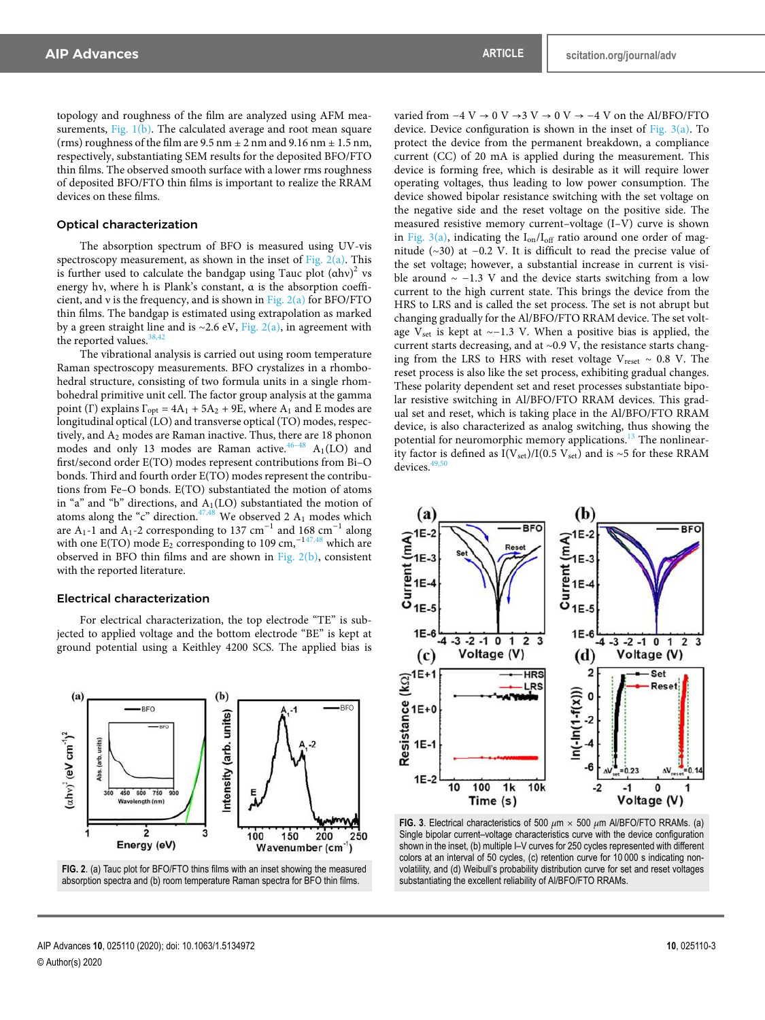topology and roughness of the film are analyzed using AFM measurements, Fig.  $1(b)$ . The calculated average and root mean square (rms) roughness of the film are  $9.5$  nm  $\pm$  2 nm and  $9.16$  nm  $\pm$  1.5 nm, respectively, substantiating SEM results for the deposited BFO/FTO thin films. The observed smooth surface with a lower rms roughness of deposited BFO/FTO thin films is important to realize the RRAM devices on these films.

#### Optical characterization

The absorption spectrum of BFO is measured using UV-vis spectroscopy measurement, as shown in the inset of Fig.  $2(a)$ . This is further used to calculate the bandgap using Tauc plot  $(ahv)^2$  vs energy hν, where h is Plank's constant, α is the absorption coefficient, and v is the frequency, and is shown in Fig.  $2(a)$  for BFO/FTO thin films. The bandgap is estimated using extrapolation as marked by a green straight line and is ∼2.6 eV, Fig. 2(a), in agreement with the reported values.

The vibrational analysis is carried out using room temperature Raman spectroscopy measurements. BFO crystalizes in a rhombohedral structure, consisting of two formula units in a single rhombohedral primitive unit cell. The factor group analysis at the gamma point (Γ) explains  $\Gamma_{opt} = 4A_1 + 5A_2 + 9E$ , where  $A_1$  and E modes are longitudinal optical (LO) and transverse optical (TO) modes, respectively, and A<sub>2</sub> modes are Raman inactive. Thus, there are 18 phonon modes and only 13 modes are Raman active.<sup>46–48</sup>  $A_1(LO)$  and first/second order E(TO) modes represent contributions from Bi–O bonds. Third and fourth order E(TO) modes represent the contributions from Fe–O bonds. E(TO) substantiated the motion of atoms in "a" and "b" directions, and  $A_1(LO)$  substantiated the motion of atoms along the "c" direction. $47,48$  We observed 2  $A_1$  modes which are A<sub>1</sub>-1 and A<sub>1</sub>-2 corresponding to 137 cm<sup>-1</sup> and 168 cm<sup>-1</sup> along with one E(TO) mode  $E_2$  corresponding to 109 cm,<sup>-147,48</sup> which are observed in BFO thin films and are shown in Fig. 2(b), consistent with the reported literature.

#### Electrical characterization

For electrical characterization, the top electrode "TE" is subjected to applied voltage and the bottom electrode "BE" is kept at ground potential using a Keithley 4200 SCS. The applied bias is



**FIG. 2**. (a) Tauc plot for BFO/FTO thins films with an inset showing the measured absorption spectra and (b) room temperature Raman spectra for BFO thin films.

varied from  $-4$  V  $\rightarrow$  0 V  $\rightarrow$  3 V  $\rightarrow$  0 V  $\rightarrow$  −4 V on the Al/BFO/FTO device. Device configuration is shown in the inset of Fig.  $3(a)$ . To protect the device from the permanent breakdown, a compliance current (CC) of 20 mA is applied during the measurement. This device is forming free, which is desirable as it will require lower operating voltages, thus leading to low power consumption. The device showed bipolar resistance switching with the set voltage on the negative side and the reset voltage on the positive side. The measured resistive memory current–voltage (I–V) curve is shown in Fig.  $3(a)$ , indicating the  $I_{on}/I_{off}$  ratio around one order of magnitude (∼30) at −0.2 V. It is difficult to read the precise value of the set voltage; however, a substantial increase in current is visible around ∼ −1.3 V and the device starts switching from a low current to the high current state. This brings the device from the HRS to LRS and is called the set process. The set is not abrupt but changing gradually for the Al/BFO/FTO RRAM device. The set voltage V<sub>set</sub> is kept at ~−1.3 V. When a positive bias is applied, the current starts decreasing, and at ∼0.9 V, the resistance starts changing from the LRS to HRS with reset voltage V<sub>reset</sub> ~ 0.8 V. The reset process is also like the set process, exhibiting gradual changes. These polarity dependent set and reset processes substantiate bipolar resistive switching in Al/BFO/FTO RRAM devices. This gradual set and reset, which is taking place in the Al/BFO/FTO RRAM device, is also characterized as analog switching, thus showing the potential for neuromorphic memory applications.<sup>13</sup> The nonlinearity factor is defined as I(V<sub>set</sub>)/I(0.5 V<sub>set</sub>) and is ∼5 for these RRAM devices.<sup>4</sup>



**FIG. 3**. Electrical characteristics of 500 *μ*m × 500 *μ*m Al/BFO/FTO RRAMs. (a) Single bipolar current–voltage characteristics curve with the device configuration shown in the inset, (b) multiple I–V curves for 250 cycles represented with different colors at an interval of 50 cycles, (c) retention curve for 10 000 s indicating nonvolatility, and (d) Weibull's probability distribution curve for set and reset voltages substantiating the excellent reliability of Al/BFO/FTO RRAMs.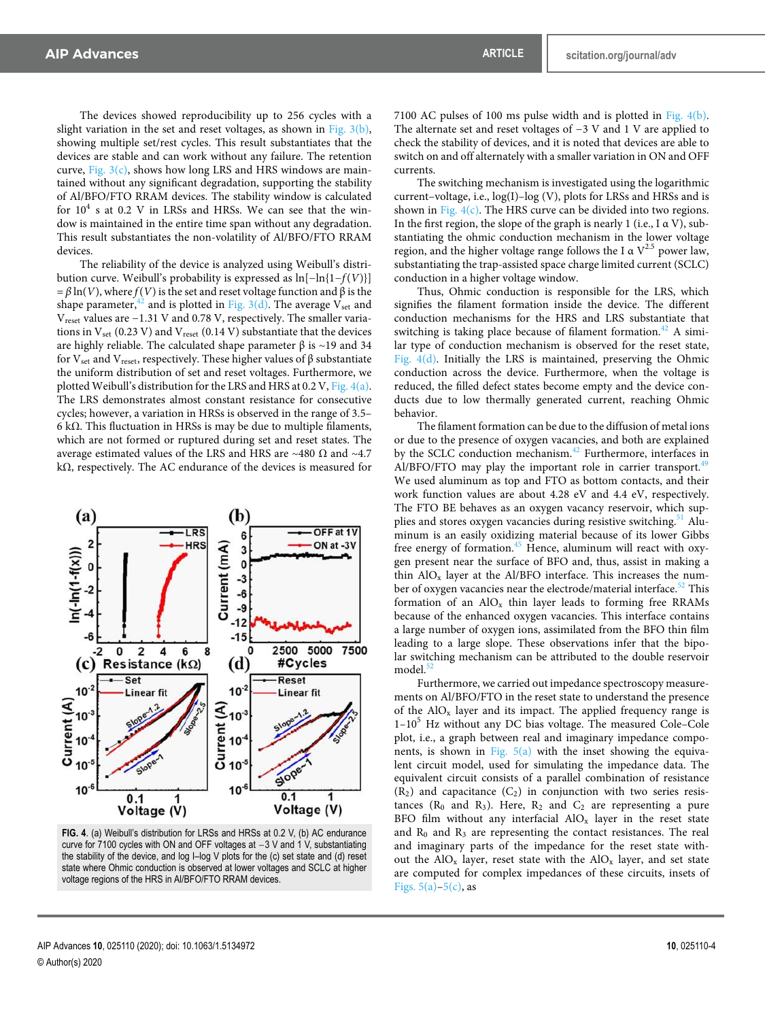The devices showed reproducibility up to 256 cycles with a slight variation in the set and reset voltages, as shown in Fig. 3(b), showing multiple set/rest cycles. This result substantiates that the devices are stable and can work without any failure. The retention curve, Fig.  $3(c)$ , shows how long LRS and HRS windows are maintained without any significant degradation, supporting the stability of Al/BFO/FTO RRAM devices. The stability window is calculated for  $10^4$  s at 0.2 V in LRSs and HRSs. We can see that the window is maintained in the entire time span without any degradation. This result substantiates the non-volatility of Al/BFO/FTO RRAM devices.

The reliability of the device is analyzed using Weibull's distribution curve. Weibull's probability is expressed as ln[−ln{1−*f*(*V*)}]  $= β \ln(V)$ , where *f*(*V*) is the set and reset voltage function and β is the shape parameter,<sup>42</sup> and is plotted in Fig. 3(d). The average  $V_{set}$  and Vreset values are −1.31 V and 0.78 V, respectively. The smaller variations in  $V_{\text{set}}$  (0.23 V) and  $V_{\text{reset}}$  (0.14 V) substantiate that the devices are highly reliable. The calculated shape parameter  $β$  is ~19 and 34 for  $V_{\text{set}}$  and  $V_{\text{reset}}$ , respectively. These higher values of β substantiate the uniform distribution of set and reset voltages. Furthermore, we plotted Weibull's distribution for the LRS and HRS at 0.2 V, Fig. 4(a). The LRS demonstrates almost constant resistance for consecutive cycles; however, a variation in HRSs is observed in the range of 3.5– 6 kΩ. This fluctuation in HRSs is may be due to multiple filaments, which are not formed or ruptured during set and reset states. The average estimated values of the LRS and HRS are ∼480 Ω and ∼4.7 kΩ, respectively. The AC endurance of the devices is measured for



**FIG. 4**. (a) Weibull's distribution for LRSs and HRSs at 0.2 V, (b) AC endurance curve for 7100 cycles with ON and OFF voltages at −3 V and 1 V, substantiating the stability of the device, and log I–log V plots for the (c) set state and (d) reset state where Ohmic conduction is observed at lower voltages and SCLC at higher voltage regions of the HRS in Al/BFO/FTO RRAM devices.

7100 AC pulses of 100 ms pulse width and is plotted in Fig. 4(b). The alternate set and reset voltages of −3 V and 1 V are applied to check the stability of devices, and it is noted that devices are able to switch on and off alternately with a smaller variation in ON and OFF currents.

The switching mechanism is investigated using the logarithmic current–voltage, i.e., log(I)–log (V), plots for LRSs and HRSs and is shown in Fig.  $4(c)$ . The HRS curve can be divided into two regions. In the first region, the slope of the graph is nearly 1 (i.e.,  $I \alpha V$ ), substantiating the ohmic conduction mechanism in the lower voltage region, and the higher voltage range follows the I  $\alpha$  V<sup>2.5</sup> power law, substantiating the trap-assisted space charge limited current (SCLC) conduction in a higher voltage window.

Thus, Ohmic conduction is responsible for the LRS, which signifies the filament formation inside the device. The different conduction mechanisms for the HRS and LRS substantiate that switching is taking place because of filament formation.<sup>42</sup> A similar type of conduction mechanism is observed for the reset state, Fig. 4(d). Initially the LRS is maintained, preserving the Ohmic conduction across the device. Furthermore, when the voltage is reduced, the filled defect states become empty and the device conducts due to low thermally generated current, reaching Ohmic behavior.

The filament formation can be due to the diffusion of metal ions or due to the presence of oxygen vacancies, and both are explained by the SCLC conduction mechanism.<sup>42</sup> Furthermore, interfaces in Al/BFO/FTO may play the important role in carrier transport. $49$ We used aluminum as top and FTO as bottom contacts, and their work function values are about 4.28 eV and 4.4 eV, respectively. The FTO BE behaves as an oxygen vacancy reservoir, which supplies and stores oxygen vacancies during resistive switching.<sup>51</sup> Aluminum is an easily oxidizing material because of its lower Gibbs free energy of formation. $45$  Hence, aluminum will react with oxygen present near the surface of BFO and, thus, assist in making a thin  $AIO<sub>x</sub>$  layer at the  $AI/BFO$  interface. This increases the number of oxygen vacancies near the electrode/material interface.<sup>52</sup> This formation of an  $AIO<sub>x</sub>$  thin layer leads to forming free RRAMs because of the enhanced oxygen vacancies. This interface contains a large number of oxygen ions, assimilated from the BFO thin film leading to a large slope. These observations infer that the bipolar switching mechanism can be attributed to the double reservoir model.<sup>5</sup>

Furthermore, we carried out impedance spectroscopy measurements on Al/BFO/FTO in the reset state to understand the presence of the  $AIO<sub>x</sub>$  layer and its impact. The applied frequency range is  $1-10<sup>5</sup>$  Hz without any DC bias voltage. The measured Cole–Cole plot, i.e., a graph between real and imaginary impedance components, is shown in Fig.  $5(a)$  with the inset showing the equivalent circuit model, used for simulating the impedance data. The equivalent circuit consists of a parallel combination of resistance  $(R<sub>2</sub>)$  and capacitance  $(C<sub>2</sub>)$  in conjunction with two series resistances ( $R_0$  and  $R_3$ ). Here,  $R_2$  and  $C_2$  are representing a pure BFO film without any interfacial  $AIO<sub>x</sub>$  layer in the reset state and  $R_0$  and  $R_3$  are representing the contact resistances. The real and imaginary parts of the impedance for the reset state without the  $AIO_x$  layer, reset state with the  $AIO_x$  layer, and set state are computed for complex impedances of these circuits, insets of Figs.  $5(a)-5(c)$ , as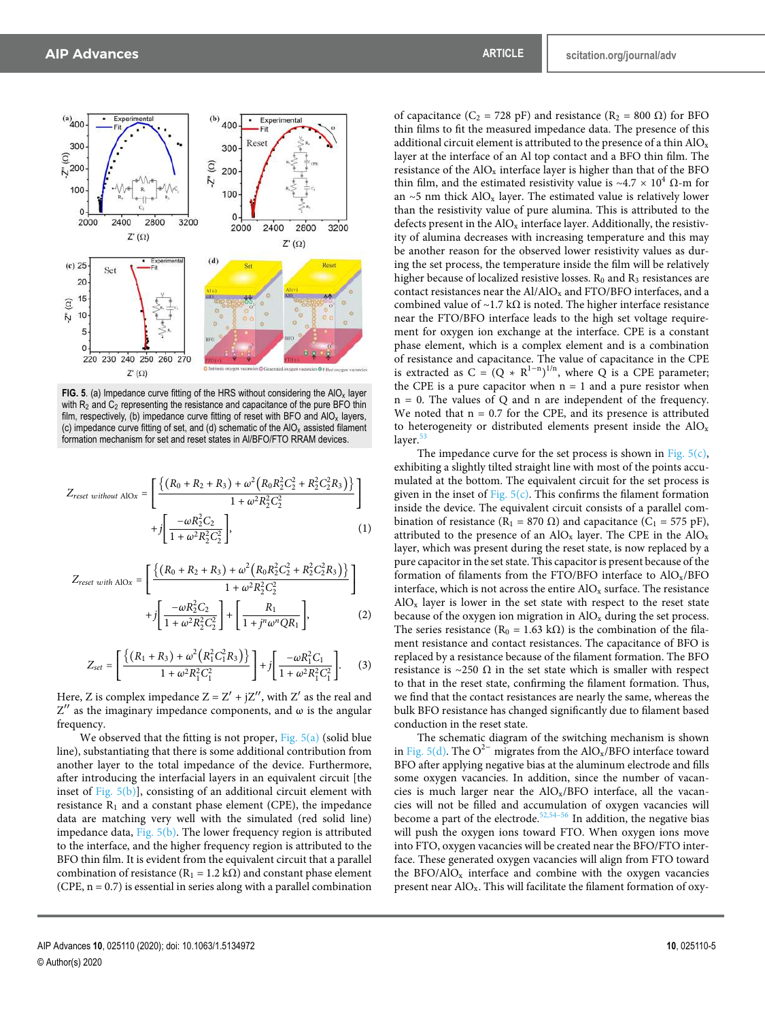

**FIG. 5**. (a) Impedance curve fitting of the HRS without considering the  $AIO<sub>x</sub>$  layer with  $R_2$  and  $C_2$  representing the resistance and capacitance of the pure BFO thin film, respectively, (b) impedance curve fitting of reset with BFO and  $AIO<sub>x</sub>$  layers, (c) impedance curve fitting of set, and (d) schematic of the  $AIO<sub>x</sub>$  assisted filament formation mechanism for set and reset states in Al/BFO/FTO RRAM devices.

$$
Z_{reset\ without\ AIOx} = \left[ \frac{\left\{ (R_0 + R_2 + R_3) + \omega^2 (R_0 R_2^2 C_2^2 + R_2^2 C_2^2 R_3) \right\}}{1 + \omega^2 R_2^2 C_2^2} \right] + j \left[ \frac{-\omega R_2^2 C_2}{1 + \omega^2 R_2^2 C_2^2} \right],
$$
 (1)

$$
Z_{reset\ with\ AIOx} = \left[ \frac{\left\{ (R_0 + R_2 + R_3) + \omega^2 (R_0 R_2^2 C_2^2 + R_2^2 C_2^2 R_3) \right\}}{1 + \omega^2 R_2^2 C_2^2} + j \left[ \frac{-\omega R_2^2 C_2}{1 + \omega^2 R_2^2 C_2^2} \right] + \left[ \frac{R_1}{1 + j^n \omega^n Q R_1} \right],
$$
 (2)

$$
Z_{set} = \left[ \frac{\left\{ (R_1 + R_3) + \omega^2 (R_1^2 C_1^2 R_3) \right\}}{1 + \omega^2 R_1^2 C_1^2} \right] + j \left[ \frac{-\omega R_1^2 C_1}{1 + \omega^2 R_1^2 C_1^2} \right].
$$
 (3)

Here, Z is complex impedance  $Z = Z' + jZ''$ , with  $Z'$  as the real and  $Z''$  as the imaginary impedance components, and  $\omega$  is the angular frequency.

We observed that the fitting is not proper, Fig.  $5(a)$  (solid blue line), substantiating that there is some additional contribution from another layer to the total impedance of the device. Furthermore, after introducing the interfacial layers in an equivalent circuit [the inset of Fig. 5(b)], consisting of an additional circuit element with resistance  $R_1$  and a constant phase element (CPE), the impedance data are matching very well with the simulated (red solid line) impedance data, Fig. 5(b). The lower frequency region is attributed to the interface, and the higher frequency region is attributed to the BFO thin film. It is evident from the equivalent circuit that a parallel combination of resistance ( $R_1 = 1.2$  k $\Omega$ ) and constant phase element (CPE,  $n = 0.7$ ) is essential in series along with a parallel combination

of capacitance (C<sub>2</sub> = 728 pF) and resistance (R<sub>2</sub> = 800  $\Omega$ ) for BFO thin films to fit the measured impedance data. The presence of this additional circuit element is attributed to the presence of a thin  $AIO_x$ layer at the interface of an Al top contact and a BFO thin film. The resistance of the  $AIO<sub>x</sub>$  interface layer is higher than that of the BFO thin film, and the estimated resistivity value is ~4.7 × 10<sup>4</sup> Ω-m for an ∼5 nm thick  $AIO_x$  layer. The estimated value is relatively lower than the resistivity value of pure alumina. This is attributed to the defects present in the  $AIO<sub>x</sub>$  interface layer. Additionally, the resistivity of alumina decreases with increasing temperature and this may be another reason for the observed lower resistivity values as during the set process, the temperature inside the film will be relatively higher because of localized resistive losses.  $R_0$  and  $R_3$  resistances are contact resistances near the  $A1/AlO<sub>x</sub>$  and FTO/BFO interfaces, and a combined value of ~1.7 kΩ is noted. The higher interface resistance near the FTO/BFO interface leads to the high set voltage requirement for oxygen ion exchange at the interface. CPE is a constant phase element, which is a complex element and is a combination of resistance and capacitance. The value of capacitance in the CPE is extracted as  $C = (Q * R^{1-n})^{1/n}$ , where Q is a CPE parameter; the CPE is a pure capacitor when  $n = 1$  and a pure resistor when n = 0. The values of Q and n are independent of the frequency. We noted that  $n = 0.7$  for the CPE, and its presence is attributed to heterogeneity or distributed elements present inside the  $AIO<sub>x</sub>$ layer.

The impedance curve for the set process is shown in Fig.  $5(c)$ , exhibiting a slightly tilted straight line with most of the points accumulated at the bottom. The equivalent circuit for the set process is given in the inset of Fig.  $5(c)$ . This confirms the filament formation inside the device. The equivalent circuit consists of a parallel combination of resistance ( $R_1 = 870 \Omega$ ) and capacitance ( $C_1 = 575 \text{ pF}$ ), attributed to the presence of an  $AIO<sub>x</sub>$  layer. The CPE in the  $AIO<sub>x</sub>$ layer, which was present during the reset state, is now replaced by a pure capacitor in the set state. This capacitor is present because of the formation of filaments from the FTO/BFO interface to  $AIO<sub>x</sub>/BFO$ interface, which is not across the entire  $AIO<sub>x</sub>$  surface. The resistance  $AIO<sub>x</sub>$  layer is lower in the set state with respect to the reset state because of the oxygen ion migration in  $\text{AlO}_\text{x}$  during the set process. The series resistance ( $R_0 = 1.63$  k $\Omega$ ) is the combination of the filament resistance and contact resistances. The capacitance of BFO is replaced by a resistance because of the filament formation. The BFO resistance is ∼250  $\Omega$  in the set state which is smaller with respect to that in the reset state, confirming the filament formation. Thus, we find that the contact resistances are nearly the same, whereas the bulk BFO resistance has changed significantly due to filament based conduction in the reset state.

The schematic diagram of the switching mechanism is shown in Fig. 5(d). The O<sup>2−</sup> migrates from the AlO<sub>x</sub>/BFO interface toward BFO after applying negative bias at the aluminum electrode and fills some oxygen vacancies. In addition, since the number of vacancies is much larger near the  $AIO<sub>x</sub>/BFO$  interface, all the vacancies will not be filled and accumulation of oxygen vacancies will become a part of the electrode.<sup>52,54–56</sup> In addition, the negative bias will push the oxygen ions toward FTO. When oxygen ions move into FTO, oxygen vacancies will be created near the BFO/FTO interface. These generated oxygen vacancies will align from FTO toward the BFO/AlO<sub>x</sub> interface and combine with the oxygen vacancies present near AlOx. This will facilitate the filament formation of oxy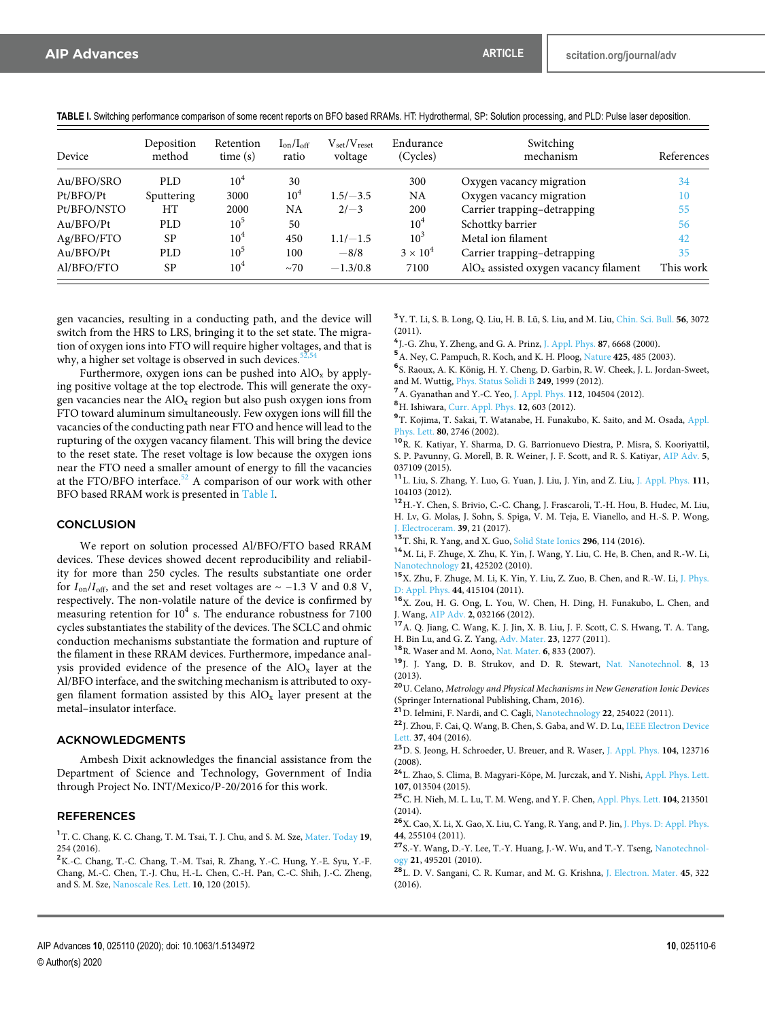**TABLE I.** Switching performance comparison of some recent reports on BFO based RRAMs. HT: Hydrothermal, SP: Solution processing, and PLD: Pulse laser deposition.

| Device      | Deposition<br>method | Retention<br>time(s) | $I_{on}/I_{off}$<br>ratio | $V_{\rm set}/V_{\rm reset}$<br>voltage | Endurance<br>(Cycles) | Switching<br>mechanism                  | References |
|-------------|----------------------|----------------------|---------------------------|----------------------------------------|-----------------------|-----------------------------------------|------------|
| Au/BFO/SRO  | PLD.                 | 10 <sup>4</sup>      | 30                        |                                        | 300                   | Oxygen vacancy migration                | 34         |
| Pt/BFO/Pt   | Sputtering           | 3000                 | $10^4$                    | $1.5/-3.5$                             | NA                    | Oxygen vacancy migration                | 10         |
| Pt/BFO/NSTO | HТ                   | 2000                 | NA                        | $2/-3$                                 | 200                   | Carrier trapping-detrapping             | 55         |
| Au/BFO/Pt   | PLD.                 | 10 <sup>5</sup>      | 50                        |                                        | 10 <sup>4</sup>       | Schottky barrier                        | 56         |
| Ag/BFO/FTO  | SP                   | $10^{4}$             | 450                       | $1.1/-1.5$                             | 10 <sup>3</sup>       | Metal ion filament                      | 42         |
| Au/BFO/Pt   | PLD.                 | 10 <sup>5</sup>      | 100                       | $-8/8$                                 | $3 \times 10^4$       | Carrier trapping-detrapping             | 35         |
| Al/BFO/FTO  | <b>SP</b>            | 10 <sup>4</sup>      | $\sim$ 70                 | $-1.3/0.8$                             | 7100                  | $AIOx$ assisted oxygen vacancy filament | This work  |

gen vacancies, resulting in a conducting path, and the device will switch from the HRS to LRS, bringing it to the set state. The migration of oxygen ions into FTO will require higher voltages, and that is why, a higher set voltage is observed in such devices.<sup>5</sup>

Furthermore, oxygen ions can be pushed into  $AIO<sub>x</sub>$  by applying positive voltage at the top electrode. This will generate the oxygen vacancies near the  $AIO<sub>x</sub>$  region but also push oxygen ions from FTO toward aluminum simultaneously. Few oxygen ions will fill the vacancies of the conducting path near FTO and hence will lead to the rupturing of the oxygen vacancy filament. This will bring the device to the reset state. The reset voltage is low because the oxygen ions near the FTO need a smaller amount of energy to fill the vacancies at the FTO/BFO interface. $52$  A comparison of our work with other BFO based RRAM work is presented in Table I.

## **CONCLUSION**

We report on solution processed Al/BFO/FTO based RRAM devices. These devices showed decent reproducibility and reliability for more than 250 cycles. The results substantiate one order for  $I_{on}/I_{off}$ , and the set and reset voltages are  $\sim -1.3$  V and 0.8 V, respectively. The non-volatile nature of the device is confirmed by measuring retention for  $10^4$  s. The endurance robustness for 7100 cycles substantiates the stability of the devices. The SCLC and ohmic conduction mechanisms substantiate the formation and rupture of the filament in these RRAM devices. Furthermore, impedance analysis provided evidence of the presence of the  $AIO<sub>x</sub>$  layer at the Al/BFO interface, and the switching mechanism is attributed to oxygen filament formation assisted by this  $AIO<sub>x</sub>$  layer present at the metal–insulator interface.

#### ACKNOWLEDGMENTS

Ambesh Dixit acknowledges the financial assistance from the Department of Science and Technology, Government of India through Project No. INT/Mexico/P-20/2016 for this work.

# REFERENCES

<sup>1</sup>T. C. Chang, K. C. Chang, T. M. Tsai, T. J. Chu, and S. M. Sze, Mater. Today **19**, 254 (2016).

<sup>2</sup>K.-C. Chang, T.-C. Chang, T.-M. Tsai, R. Zhang, Y.-C. Hung, Y.-E. Syu, Y.-F. Chang, M.-C. Chen, T.-J. Chu, H.-L. Chen, C.-H. Pan, C.-C. Shih, J.-C. Zheng, and S. M. Sze, Nanoscale Res. Lett. **10**, 120 (2015).

<sup>3</sup>Y. T. Li, S. B. Long, Q. Liu, H. B. Lü, S. Liu, and M. Liu, Chin. Sci. Bull. **56**, 3072  $(2011)$ 

4 J.-G. Zhu, Y. Zheng, and G. A. Prinz, J. Appl. Phys. **87**, 6668 (2000).

<sup>5</sup>A. Ney, C. Pampuch, R. Koch, and K. H. Ploog, Nature **425**, 485 (2003).

6 S. Raoux, A. K. König, H. Y. Cheng, D. Garbin, R. W. Cheek, J. L. Jordan-Sweet, and M. Wuttig, Phys. Status Solidi B **249**, 1999 (2012).

<sup>7</sup>A. Gyanathan and Y.-C. Yeo, J. Appl. Phys. **112**, 104504 (2012).

<sup>8</sup>H. Ishiwara, Curr. Appl. Phys. **12**, 603 (2012).

<sup>9</sup>T. Kojima, T. Sakai, T. Watanabe, H. Funakubo, K. Saito, and M. Osada, Appl. Phys. Lett. **80**, 2746 (2002).

<sup>10</sup>R. K. Katiyar, Y. Sharma, D. G. Barrionuevo Diestra, P. Misra, S. Kooriyattil, S. P. Pavunny, G. Morell, B. R. Weiner, J. F. Scott, and R. S. Katiyar, AIP Adv. **5**, 037109 (2015).

<sup>11</sup>L. Liu, S. Zhang, Y. Luo, G. Yuan, J. Liu, J. Yin, and Z. Liu, J. Appl. Phys. **111**, 104103 (2012).

<sup>12</sup>H.-Y. Chen, S. Brivio, C.-C. Chang, J. Frascaroli, T.-H. Hou, B. Hudec, M. Liu, H. Lv, G. Molas, J. Sohn, S. Spiga, V. M. Teja, E. Vianello, and H.-S. P. Wong, J. Electroceram. **39**, 21 (2017).

<sup>13</sup>T. Shi, R. Yang, and X. Guo, Solid State Ionics **296**, 114 (2016).

<sup>14</sup>M. Li, F. Zhuge, X. Zhu, K. Yin, J. Wang, Y. Liu, C. He, B. Chen, and R.-W. Li, Nanotechnology **21**, 425202 (2010).

<sup>15</sup>X. Zhu, F. Zhuge, M. Li, K. Yin, Y. Liu, Z. Zuo, B. Chen, and R.-W. Li, J. Phys. D: Appl. Phys. **44**, 415104 (2011).

<sup>16</sup>X. Zou, H. G. Ong, L. You, W. Chen, H. Ding, H. Funakubo, L. Chen, and J. Wang, AIP Adv. **2**, 032166 (2012).

<sup>17</sup>A. Q. Jiang, C. Wang, K. J. Jin, X. B. Liu, J. F. Scott, C. S. Hwang, T. A. Tang, H. Bin Lu, and G. Z. Yang, Adv. Mater. **23**, 1277 (2011).

<sup>18</sup>R. Waser and M. Aono, Nat. Mater. **6**, 833 (2007).

<sup>19</sup>J. J. Yang, D. B. Strukov, and D. R. Stewart, Nat. Nanotechnol. **8**, 13 (2013).

<sup>20</sup>U. Celano, *Metrology and Physical Mechanisms in New Generation Ionic Devices* (Springer International Publishing, Cham, 2016).

<sup>21</sup>D. Ielmini, F. Nardi, and C. Cagli, Nanotechnology **22**, 254022 (2011).

<sup>22</sup>J. Zhou, F. Cai, Q. Wang, B. Chen, S. Gaba, and W. D. Lu, IEEE Electron Device Lett. **37**, 404 (2016).

<sup>23</sup>D. S. Jeong, H. Schroeder, U. Breuer, and R. Waser, J. Appl. Phys. **104**, 123716 (2008).

<sup>24</sup>L. Zhao, S. Clima, B. Magyari-Köpe, M. Jurczak, and Y. Nishi, Appl. Phys. Lett. **107**, 013504 (2015).

<sup>25</sup>C. H. Nieh, M. L. Lu, T. M. Weng, and Y. F. Chen, Appl. Phys. Lett. **104**, 213501 (2014).

<sup>26</sup>X. Cao, X. Li, X. Gao, X. Liu, C. Yang, R. Yang, and P. Jin, J. Phys. D: Appl. Phys. **44**, 255104 (2011).

<sup>27</sup>S.-Y. Wang, D.-Y. Lee, T.-Y. Huang, J.-W. Wu, and T.-Y. Tseng, Nanotechnology **21**, 495201 (2010).

<sup>28</sup>L. D. V. Sangani, C. R. Kumar, and M. G. Krishna, J. Electron. Mater. **45**, 322 (2016).